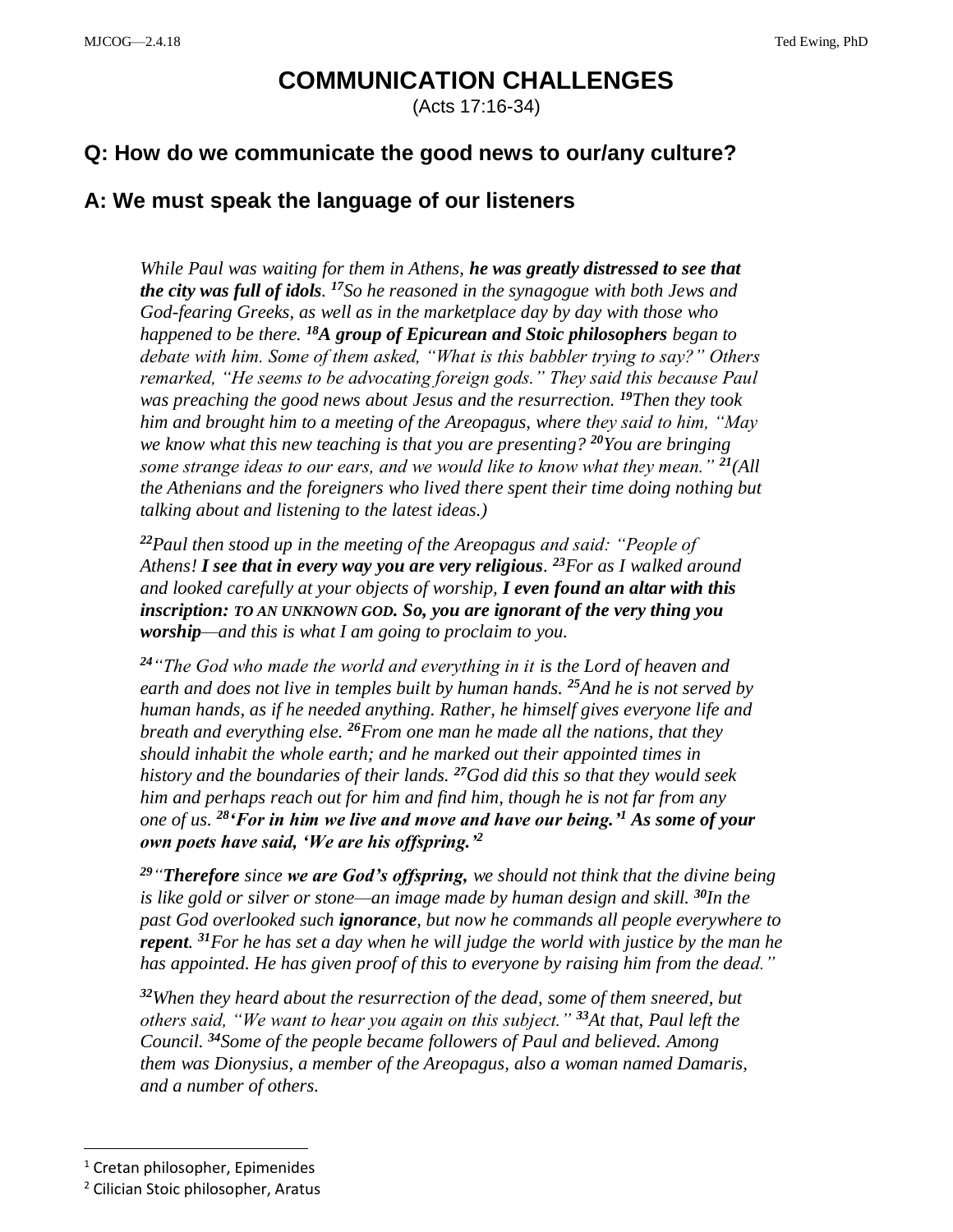## **COMMUNICATION CHALLENGES**

(Acts 17:16-34)

## **Q: How do we communicate the good news to our/any culture?**

## **A: We must speak the language of our listeners**

*While Paul was waiting for them in Athens, he was greatly distressed to see that the city was full of idols. <sup>17</sup>So he reasoned in the synagogue with both Jews and God-fearing Greeks, as well as in the marketplace day by day with those who happened to be there. <sup>18</sup>A group of Epicurean and Stoic philosophers began to debate with him. Some of them asked, "What is this babbler trying to say?" Others remarked, "He seems to be advocating foreign gods." They said this because Paul was preaching the good news about Jesus and the resurrection. <sup>19</sup>Then they took him and brought him to a meeting of the Areopagus, where they said to him, "May we know what this new teaching is that you are presenting? <sup>20</sup>You are bringing some strange ideas to our ears, and we would like to know what they mean." <sup>21</sup>(All the Athenians and the foreigners who lived there spent their time doing nothing but talking about and listening to the latest ideas.)*

*<sup>22</sup>Paul then stood up in the meeting of the Areopagus and said: "People of Athens! I see that in every way you are very religious. <sup>23</sup>For as I walked around and looked carefully at your objects of worship, I even found an altar with this inscription: TO AN UNKNOWN GOD. So, you are ignorant of the very thing you worship—and this is what I am going to proclaim to you.*

*<sup>24</sup>"The God who made the world and everything in it is the Lord of heaven and earth and does not live in temples built by human hands. <sup>25</sup>And he is not served by human hands, as if he needed anything. Rather, he himself gives everyone life and breath and everything else. <sup>26</sup>From one man he made all the nations, that they should inhabit the whole earth; and he marked out their appointed times in history and the boundaries of their lands. <sup>27</sup>God did this so that they would seek him and perhaps reach out for him and find him, though he is not far from any one of us. <sup>28</sup>'For in him we live and move and have our being.'<sup>1</sup> As some of your own poets have said, 'We are his offspring.'<sup>2</sup>*

*<sup>29</sup>"Therefore since we are God's offspring, we should not think that the divine being is like gold or silver or stone—an image made by human design and skill. <sup>30</sup>In the past God overlooked such ignorance, but now he commands all people everywhere to repent. <sup>31</sup>For he has set a day when he will judge the world with justice by the man he has appointed. He has given proof of this to everyone by raising him from the dead."*

*<sup>32</sup>When they heard about the resurrection of the dead, some of them sneered, but others said, "We want to hear you again on this subject." <sup>33</sup>At that, Paul left the Council. <sup>34</sup>Some of the people became followers of Paul and believed. Among them was Dionysius, a member of the Areopagus, also a woman named Damaris, and a number of others.*

 $\overline{a}$ 

<sup>&</sup>lt;sup>1</sup> Cretan philosopher, Epimenides

<sup>2</sup> Cilician Stoic philosopher, Aratus